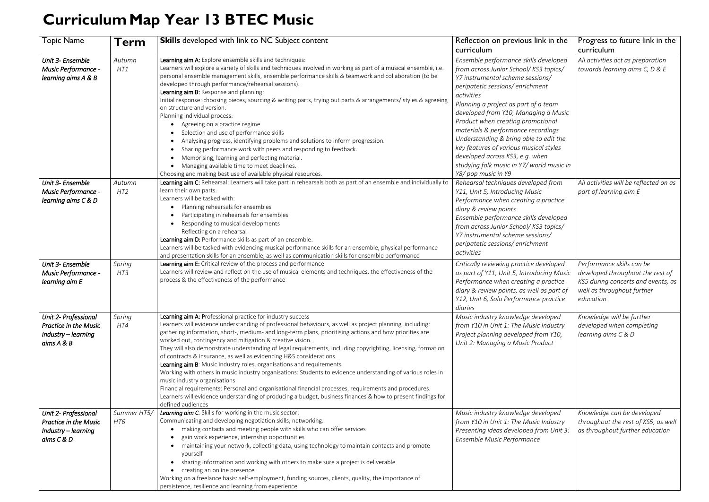## **CurriculumMap Year 13 BTEC Music**

| <b>Topic Name</b>                                                                         | Term               | <b>Skills</b> developed with link to NC Subject content                                                                                                                                                                                                                                                                                                                                                                                                                                                                                                                                                                                                                                                                                                                                                                                                                                                                                                                                                   | Reflection on previous link in the                                                                                                                                                                                                                                                                                                                                                                                                                                                                                       | Progress to future link in the                                                                                                                 |
|-------------------------------------------------------------------------------------------|--------------------|-----------------------------------------------------------------------------------------------------------------------------------------------------------------------------------------------------------------------------------------------------------------------------------------------------------------------------------------------------------------------------------------------------------------------------------------------------------------------------------------------------------------------------------------------------------------------------------------------------------------------------------------------------------------------------------------------------------------------------------------------------------------------------------------------------------------------------------------------------------------------------------------------------------------------------------------------------------------------------------------------------------|--------------------------------------------------------------------------------------------------------------------------------------------------------------------------------------------------------------------------------------------------------------------------------------------------------------------------------------------------------------------------------------------------------------------------------------------------------------------------------------------------------------------------|------------------------------------------------------------------------------------------------------------------------------------------------|
|                                                                                           |                    |                                                                                                                                                                                                                                                                                                                                                                                                                                                                                                                                                                                                                                                                                                                                                                                                                                                                                                                                                                                                           | curriculum                                                                                                                                                                                                                                                                                                                                                                                                                                                                                                               | curriculum                                                                                                                                     |
| Unit 3- Ensemble<br>Music Performance -<br>learning aims A & B                            | Autumn<br>HT1      | Learning aim A: Explore ensemble skills and techniques:<br>Learners will explore a variety of skills and techniques involved in working as part of a musical ensemble, i.e.<br>personal ensemble management skills, ensemble performance skills & teamwork and collaboration (to be<br>developed through performance/rehearsal sessions).<br>Learning aim B: Response and planning:<br>Initial response: choosing pieces, sourcing & writing parts, trying out parts & arrangements/ styles & agreeing<br>on structure and version.<br>Planning individual process:<br>Agreeing on a practice regime<br>Selection and use of performance skills<br>Analysing progress, identifying problems and solutions to inform progression.<br>Sharing performance work with peers and responding to feedback.<br>$\bullet$<br>Memorising, learning and perfecting material.<br>Managing available time to meet deadlines.<br>Choosing and making best use of available physical resources.                          | Ensemble performance skills developed<br>from across Junior School/KS3 topics/<br>Y7 instrumental scheme sessions/<br>peripatetic sessions/enrichment<br>activities<br>Planning a project as part of a team<br>developed from Y10, Managing a Music<br>Product when creating promotional<br>materials & performance recordings<br>Understanding & bring able to edit the<br>key features of various musical styles<br>developed across KS3, e.g. when<br>studying folk music in Y7/ world music in<br>Y8/pop music in Y9 | All activities act as preparation<br>towards learning aims C, D & E                                                                            |
| Unit 3- Ensemble<br>Music Performance -<br>learning aims C & D                            | Autumn<br>HT2      | Learning aim C: Rehearsal: Learners will take part in rehearsals both as part of an ensemble and individually to<br>learn their own parts.<br>Learners will be tasked with:<br>Planning rehearsals for ensembles<br>Participating in rehearsals for ensembles<br>Responding to musical developments<br>Reflecting on a rehearsal<br>Learning aim D: Performance skills as part of an ensemble:<br>Learners will be tasked with evidencing musical performance skills for an ensemble, physical performance<br>and presentation skills for an ensemble, as well as communication skills for ensemble performance                                                                                                                                                                                                                                                                                                                                                                                           | Rehearsal techniques developed from<br>Y11, Unit 5, Introducing Music<br>Performance when creating a practice<br>diary & review points<br>Ensemble performance skills developed<br>from across Junior School/KS3 topics/<br>Y7 instrumental scheme sessions/<br>peripatetic sessions/enrichment<br>activities                                                                                                                                                                                                            | All activities will be reflected on as<br>part of learning aim E                                                                               |
| Unit 3- Ensemble<br>Music Performance -<br>learning aim E                                 | Spring<br>HT3      | Learning aim E: Critical review of the process and performance<br>Learners will review and reflect on the use of musical elements and techniques, the effectiveness of the<br>process & the effectiveness of the performance                                                                                                                                                                                                                                                                                                                                                                                                                                                                                                                                                                                                                                                                                                                                                                              | Critically reviewing practice developed<br>as part of Y11, Unit 5, Introducing Music<br>Performance when creating a practice<br>diary & review points, as well as part of<br>Y12, Unit 6, Solo Performance practice<br>diaries                                                                                                                                                                                                                                                                                           | Performance skills can be<br>developed throughout the rest of<br>KS5 during concerts and events, as<br>well as throughout further<br>education |
| Unit 2- Professional<br><b>Practice in the Music</b><br>Industry – learning<br>aims A & B | Spring<br>HT4      | Learning aim A: Professional practice for industry success<br>Learners will evidence understanding of professional behaviours, as well as project planning, including:<br>gathering information, short-, medium- and long-term plans, prioritising actions and how priorities are<br>worked out, contingency and mitigation & creative vision.<br>They will also demonstrate understanding of legal requirements, including copyrighting, licensing, formation<br>of contracts & insurance, as well as evidencing H&S considerations.<br>Learning aim B: Music industry roles, organisations and requirements<br>Working with others in music industry organisations: Students to evidence understanding of various roles in<br>music industry organisations<br>Financial requirements: Personal and organisational financial processes, requirements and procedures.<br>Learners will evidence understanding of producing a budget, business finances & how to present findings for<br>defined audiences | Music industry knowledge developed<br>from Y10 in Unit 1: The Music Industry<br>Project planning developed from Y10,<br>Unit 2: Managing a Music Product                                                                                                                                                                                                                                                                                                                                                                 | Knowledge will be further<br>developed when completing<br>learning aims C & D                                                                  |
| Unit 2- Professional<br><b>Practice in the Music</b><br>Industry – learning<br>aims C & D | Summer HT5/<br>HT6 | Learning aim C: Skills for working in the music sector:<br>Communicating and developing negotiation skills; networking:<br>making contacts and meeting people with skills who can offer services<br>gain work experience, internship opportunities<br>• maintaining your network, collecting data, using technology to maintain contacts and promote<br>yourself<br>sharing information and working with others to make sure a project is deliverable<br>creating an online presence<br>Working on a freelance basis: self-employment, funding sources, clients, quality, the importance of<br>persistence, resilience and learning from experience                                                                                                                                                                                                                                                                                                                                                       | Music industry knowledge developed<br>from Y10 in Unit 1: The Music Industry<br>Presenting ideas developed from Unit 3:<br>Ensemble Music Performance                                                                                                                                                                                                                                                                                                                                                                    | Knowledge can be developed<br>throughout the rest of KS5, as well<br>as throughout further education                                           |